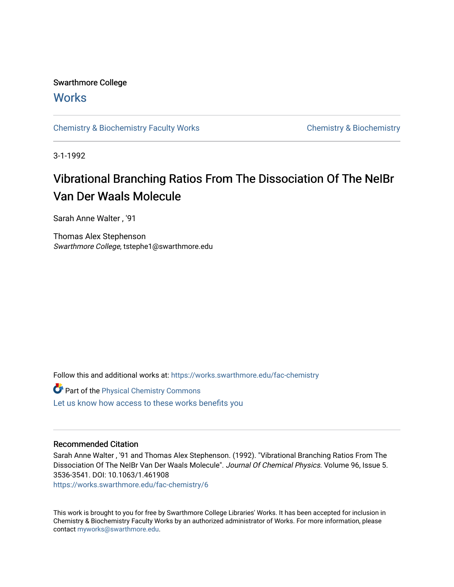## Swarthmore College

## **Works**

[Chemistry & Biochemistry Faculty Works](https://works.swarthmore.edu/fac-chemistry) Chemistry Chemistry & Biochemistry

3-1-1992

# Vibrational Branching Ratios From The Dissociation Of The NeIBr Van Der Waals Molecule

Sarah Anne Walter , '91

Thomas Alex Stephenson Swarthmore College, tstephe1@swarthmore.edu

Follow this and additional works at: [https://works.swarthmore.edu/fac-chemistry](https://works.swarthmore.edu/fac-chemistry?utm_source=works.swarthmore.edu%2Ffac-chemistry%2F6&utm_medium=PDF&utm_campaign=PDFCoverPages)

| Part of the Physical Chemistry Commons             |  |
|----------------------------------------------------|--|
| Let us know how access to these works benefits you |  |

### Recommended Citation

Sarah Anne Walter , '91 and Thomas Alex Stephenson. (1992). "Vibrational Branching Ratios From The Dissociation Of The NeIBr Van Der Waals Molecule". Journal Of Chemical Physics. Volume 96, Issue 5. 3536-3541. DOI: 10.1063/1.461908

<https://works.swarthmore.edu/fac-chemistry/6>

This work is brought to you for free by Swarthmore College Libraries' Works. It has been accepted for inclusion in Chemistry & Biochemistry Faculty Works by an authorized administrator of Works. For more information, please contact [myworks@swarthmore.edu](mailto:myworks@swarthmore.edu).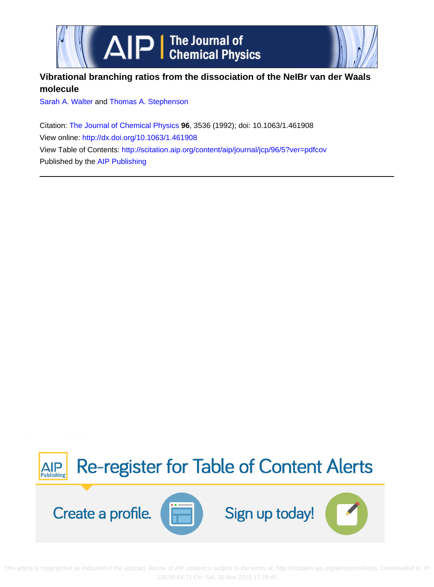



### **Vibrational branching ratios from the dissociation of the NeIBr van der Waals molecule**

[Sarah A. Walter](http://scitation.aip.org/search?value1=Sarah+A.+Walter&option1=author) and [Thomas A. Stephenson](http://scitation.aip.org/search?value1=Thomas+A.+Stephenson&option1=author)

Citation: [The Journal of Chemical Physics](http://scitation.aip.org/content/aip/journal/jcp?ver=pdfcov) **96**, 3536 (1992); doi: 10.1063/1.461908 View online:<http://dx.doi.org/10.1063/1.461908> View Table of Contents: <http://scitation.aip.org/content/aip/journal/jcp/96/5?ver=pdfcov> Published by the [AIP Publishing](http://scitation.aip.org/content/aip?ver=pdfcov)



 This art[icle is copyrighted as indicated in the abstract. Reuse of AIP content is subject to the terms at: http://scitation.aip.org/termsconditions. Down](http://oasc12039.247realmedia.com/RealMedia/ads/click_lx.ads/www.aip.org/pt/adcenter/pdfcover_test/L-37/586982248/x01/AIP-PT/JCP_CoverPg_101613/aipToCAlerts_Large.png/5532386d4f314a53757a6b4144615953?x)loaded to IP: 130.58.64.71 On: Sat, 30 Nov 2013 17:29:45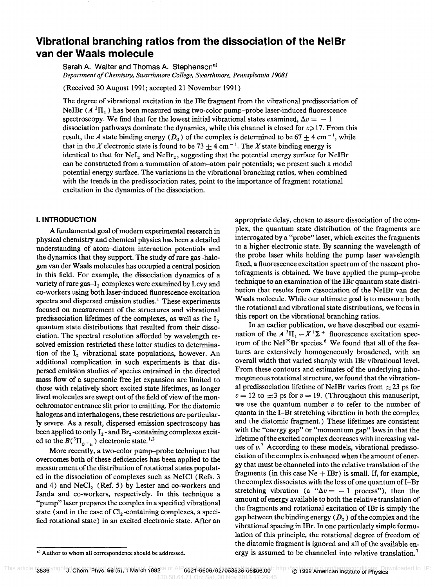### **Vibrational branching ratios from the dissociation of the NelBr van der Waals molecule**

Sarah A. Walter and Thomas A. Stephenson<sup>a)</sup> *Department o/Chemistry, Swarthmore College, Swarthmore, Pennsylvania 19081* 

(Received 30 August 1991; accepted 21 November 1991)

The degree of vibrational excitation in the IBr fragment from the vibrational predissociation of NeIBr  $(A^{3}\Pi_{1})$  has been measured using two-color pump-probe laser-induced fluorescence spectroscopy. We find that for the lowest initial vibrational states examined,  $\Delta v = -1$ dissociation pathways dominate the dynamics, while this channel is closed for *v>* 17. From this result, the *A* state binding energy  $(D_0)$  of the complex is determined to be 67  $\pm$  4 cm<sup>-1</sup>, while that in the *X* electronic state is found to be 73  $\pm$  4 cm<sup>-1</sup>. The *X* state binding energy is identical to that for  $NeI<sub>2</sub>$  and  $NeBr<sub>2</sub>$ , suggesting that the potential energy surface for NeIBr can be constructed from a summation of atom-atom pair potentials; we present such a model potential energy surface. The variations in the vibrational branching ratios, when combined with the trends in the predissociation rates, point to the importance of fragment rotational excitation in the dynamics of the dissociation.

#### **I. INTRODUCTION**

A fundamental goal of modern experimental research in physical chemistry and chemical physics has been a detailed understanding of atom-diatom interaction potentials and the dynamics that they support. The study of rare gas-halogen van der Waals molecules has occupied a central position in this field. For example, the dissociation dynamics of a variety of rare gas-I<sub>2</sub> complexes were examined by Levy and co-workers using both laser-induced fluorescence excitation spectra and dispersed emission studies.<sup>1</sup> These experiments focused on measurement of the structures and vibrational predissociation lifetimes of the complexes, as well as the I<sub>2</sub> quantum state distributions that resulted from their dissociation. The spectral resolution afforded by wavelength resolved emission restricted these latter studies to determination of the  $I_2$  vibrational state populations, however. An additional complication in such experiments is that dispersed emission studies of species entrained in the directed mass flow of a supersonic free jet expansion are limited to those with relatively short excited state lifetimes, as longer lived molecules are swept out of the field of view of the monochromator entrance slit prior to emitting. For the diatomic halogens and interhalogens, these restrictions are particularly severe. As a result, dispersed emission spectroscopy has been applied to only  $I_2$ -and  $Br_2$ -containing complexes excited to the  $B({}^3\Pi_{0+}$ <sup>1,2</sup> electronic state.<sup>1,2</sup>

More recently, a two-color pump-probe technique that overcomes both of these deficiencies has been applied to the measurement of the distribution of rotational states populated in the dissociation of complexes such as NeICI (Refs. 3 and 4) and  $NeCl<sub>2</sub>$  (Ref. 5) by Lester and co-workers and Janda and co-workers, respectively. In this technique a "pump" laser prepares the complex in a specified vibrational state (and in the case of  $Cl_2$ -containing complexes, a specified rotational state) in an excited electronic state. After an

appropriate delay, chosen to assure dissociation of the complex, the quantum state distribution of the fragments are interrogated by a "probe" laser, which excites the fragments to a higher electronic state. By scanning the wavelength of the probe laser while holding the pump laser wavelength fixed, a fluorescence excitation spectrum of the nascent photofragments is obtained. We have applied the pump-probe technique to an examination of the IBr quantum state distribution that results from dissociation of the NeIBr van der Waals molecule. While our ultimate goal is to measure both the rotational and vibrational state distributions, we focus in this report on the vibrational branching ratios.

In an earlier publication, we have described our examination of the  $A^3\Pi_1 \leftarrow X^1\Sigma^+$  fluorescence excitation spectrum of the NeI<sup>79</sup>Br species.<sup>6</sup> We found that all of the features are extensively homogeneously broadened, with an overall width that varied sharply with IBr vibrational level. From these contours and estimates of the underlying inhomogeneous rotational structure, we found that the vibrational predissociation lifetime of NeIBr varies from  $\approx$  23 ps for  $v = 12$  to  $\approx$  3 ps for  $v = 19$ . (Throughout this manuscript, we use the quantum number *v* to refer to the number of quanta in the I-Br stretching vibration in both the complex and the diatomic fragment.) These lifetimes are consistent with the "energy gap" or "momentum gap" laws in that the lifetime of the excited complex decreases with increasing values of  $v^7$ . According to these models, vibrational predissociation of the complex is enhanced when the amount of energy that must be channeled into the relative translation of the fragments (in this case  $Ne + IBr$ ) is small. If, for example, the complex dissociates with the loss of one quantum of  $I-Br$ stretching vibration (a  $"\Delta v = -1$  process"), then the amount of energy available to both the relative translation of the fragments and rotational excitation of IBr is simply the gap between the binding energy  $(D_0)$  of the complex and the vibrational spacing in IBr. In one particularly simple formulation of this principle, the rotational degree of freedom of the diatomic fragment is ignored and all of the available energy is assumed to be channeled into relative translation.7

a) Author to whom all correspondence should be addressed.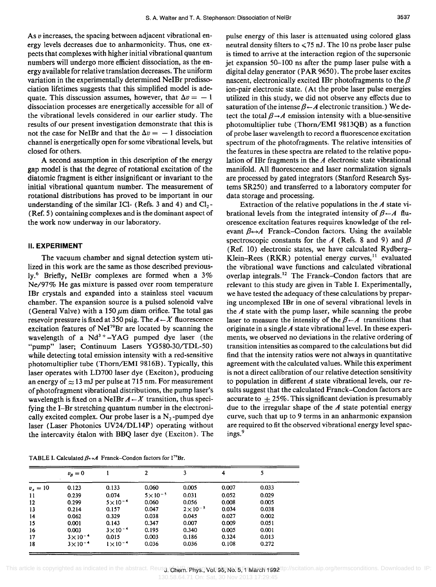As *v* increases, the spacing between adjacent vibrational energy levels decreases due to anharmonicity. Thus, one expects that complexes with higher initial vibrational quantum numbers will undergo more efficient dissociation, as the energy available for relative translation decreases. The uniform variation in the experimentally determined NeIBr predissociation lifetimes suggests that this simplified model is adequate. This disscussion assumes, however, that  $\Delta v = -1$ dissociation processes are energetically accessible for all of the vibrational levels considered in our earlier study. The results of our present investigation demonstrate that this is not the case for NeIBr and that the  $\Delta v = -1$  dissociation channel is energetically open for some vibrational levels, but closed for others.

A second assumption in this description of the energy gap model is that the degree of rotational excitation of the diatomic fragment is either insignificant or invariant to the initial vibrational quantum number. The measurement of rotational distributions has proved to be important in our understanding of the similar ICl- (Refs. 3 and 4) and  $Cl_2$ -(Ref. 5) containing complexes and is the dominant aspect of the work now underway in our laboratory.

### **II. EXPERIMENT**

The vacuum chamber and signal detection system utilized in this work are the same as those described previously.6 Briefly, NeIBr complexes are formed when a 3% Ne/97% He gas mixture is passed over room temperature IBr crystals and expanded into a stainless steel vacuum chamber. The expansion source is a pulsed solenoid valve (General Valve) with a 150  $\mu$ m diam orifice. The total gas resevoir pressure is fixed at 350 psig. The  $A \leftarrow X$  fluorescence excitation features of  $\text{NeI}^{79}\text{Br}$  are located by scanning the wavelength of a  $Nd^3 + -YAG$  pumped dye laser (the "pump" laser; Continuum Lasers YG580-30/TDL-50) while detecting total emission intensity with a red-sensitive photomultiplier tube (Thorn/EMI 9816B). Typically, this laser operates with LD700 laser dye (Exciton), producing an energy of  $\approx$  13 mJ per pulse at 715 nm. For measurement of photofragment vibrational distributions, the pump laser's wavelength is fixed on a NeIBr  $A \leftarrow X$  transition, thus specifying the I-Br stretching quantum number in the electronically excited complex. Our probe laser is a  $N<sub>2</sub>$ -pumped dye laser (Laser Photonics UV24/DL14P) operating without the intercavity etalon with BBQ laser dye (Exciton). The

pulse energy of this laser is attenuated using colored glass neutral density filters to  $\leq 75$  nJ. The 10 ns probe laser pulse is timed to arrive at the interaction region of the supersonic jet expansion 50-100 ns after the pump laser pulse with a digital delay generator (PAR 9650). The probe laser excites nascent, electronically excited IBr photofragments to the  $\beta$ ion-pair electronic state. (At the probe laser pulse energies utilized in this study, we did not observe any effects due to saturation of the intense  $\beta \leftarrow A$  electronic transition.) We detect the total  $\beta \rightarrow A$  emission intensity with a blue-sensitive photomultiplier tube (Thorn/EMI 9813QB) as a function of probe laser wavelength to record a fluorescence excitation spectrum of the photofragments. The relative intensities of the features in these spectra are related to the relative population of IBr fragments in the *A* electronic state vibrational manifold. All fluorescence and laser normalization signals are processed by gated integrators (Stanford Research Systems SR250) and transferred to a laboratory computer for data storage and processing.

Extraction of the relative populations in the *A* state vibrational levels from the integrated intensity of  $\beta \leftarrow A$  fluorescence excitation features requires knowledge of the relevant  $\beta \leftrightarrow A$  Franck–Condon factors. Using the available spectroscopic constants for the *A* (Refs. 8 and 9) and  $\beta$ (Ref. 10) electronic states, we have calculated Rydberg-Klein-Rees (RKR) potential energy curves,  $11$  evaluated the vibrational wave functions and calculated vibrational overlap integrals. 12 The Franck-Condon factors that are relevant to this study are given in Table I. Experimentally, we have tested the adequacy of these calculations by preparing uncomplexed IBr in one of several vibrational levels in the *A* state with the pump laser, while scanning the probe laser to measure the intensity of the  $\beta \leftarrow A$  transitions that originate in a single *A* state vibrational level. In these experiments, we observed no deviations in the relative ordering of transition intensities as compared to the calculations but did find that the intensity ratios were not always in quantitative agreement with the calculated values. While this experiment is not a direct calibration of our relative detection sensitivity to population in different *A* state vibrational levels, our results suggest that the calculated Franck-Condon factors are accurate to  $+25\%$ . This significant deviation is presumably due to the irregular shape of the *A* state potential energy curve, such that up to 9 terms in an anharmonic expansion are required to fit the observed vibrational energy level spacings.<sup>9</sup>

TABLE I. Calculated  $\beta_{\leftrightarrow}A$  Franck-Condon factors for I<sup>79</sup>Br.

|            | $v_{\scriptscriptstyle R}=0$ |                    |                    | 3                | 4     | 5     |  |
|------------|------------------------------|--------------------|--------------------|------------------|-------|-------|--|
| $v_4 = 10$ | 0.123                        | 0.133              | 0.060              | 0.005            | 0.007 | 0.033 |  |
| 11         | 0.239                        | 0.074              | $5 \times 10^{-5}$ | 0.031            | 0.052 | 0.029 |  |
| 12         | 0.299                        | $5 \times 10^{-4}$ | 0.060              | 0.056            | 0.008 | 0.005 |  |
| 13         | 0.214                        | 0.157              | 0.047              | $2\times10^{-5}$ | 0.034 | 0.038 |  |
| 14         | 0.062                        | 0.329              | 0.038              | 0.045            | 0.027 | 0.002 |  |
| 15         | 0.001                        | 0.143              | 0.347              | 0.007            | 0.009 | 0.051 |  |
| 16         | 0.003                        | $3 \times 10^{-4}$ | 0.195              | 0.340            | 0.005 | 0.001 |  |
| 17         | $3 \times 10^{-4}$           | 0.015              | 0.003              | 0.186            | 0.324 | 0.013 |  |
| 18         | $3 \times 10^{-4}$           | $1 \times 10^{-4}$ | 0.036              | 0.036            | 0.108 | 0.272 |  |

This article is copyrighted as indicated in the abstract. Reus**g. Chem. Phys. Vol. 98, No. 5, No.8 21, No. 7992** ttp://scitation.aip.org/termsconditions. Downloaded to IP: 130.58.64.71 On: Sat, 30 Nov 2013 17:29:45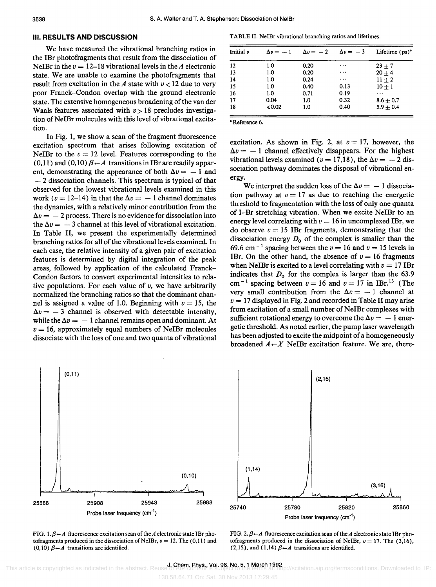#### **III. RESULTS AND DISCUSSION**

We have measured the vibrational branching ratios in the IBr photofragments that result from the dissociation of NeIBr in the  $v = 12-18$  vibrational levels in the *A* electronic state. We are unable to examine the photofragments that result from excitation in the  $A$  state with  $v < 12$  due to very poor Franck-Condon overlap with the ground electronic state. The extensive homogeneous broadening of the van der Waals features associated with  $v>18$  precludes investigation of NeIBr molecules with this level of vibrational excitation.

In Fig. 1, we show a scan of the fragment fluorescence excitation spectrum that arises following excitation of NeIBr to the  $v = 12$  level. Features corresponding to the  $(0,11)$  and  $(0,10)$   $\beta \leftarrow A$  transitions in IBr are readily apparent, demonstrating the appearance of both  $\Delta v = -1$  and  $-2$  dissociation channels. This spectrum is typical of that observed for the lowest vibrational levels examined in this work ( $v = 12-14$ ) in that the  $\Delta v = -1$  channel dominates the dynamics, with a relatively minor contribution from the  $\Delta v = -2$  process. There is no evidence for dissociation into the  $\Delta v = -3$  channel at this level of vibrational excitation. In Table II, we present the experimentally determined branching ratios for all of the vibrational levels examined. In each case, the relative intensity of a given pair of excitation features is determined by digital integration of the peak areas, followed by application of the calculated Franck-Condon factors to convert experimental intensities to relative populations. For each value of *v,* we have arbitrarily normalized the branching ratios so that the dominant channel is assigned a value of 1.0. Beginning with  $v = 15$ , the  $\Delta v = -3$  channel is observed with detectable intensity, while the  $\Delta v = -1$  channel remains open and dominant. At  $v = 16$ , approximately equal numbers of NeIBr molecules dissociate with the loss of one and two quanta of vibrational

TABLE II. NeIBr vibrational branching ratios and lifetimes.

| Initial $v$ | $\Delta v = -1$ | $\Delta v = -2$ | $\Delta v = -3$ | Lifetime $(ps)^*$ |
|-------------|-----------------|-----------------|-----------------|-------------------|
| 12          | 1.0             | 0.20            | .               | $23 + 7$          |
| 13          | 1.0             | 0.20            | $\cdots$        | $20 + 4$          |
| 14          | 1.0             | 0.24            | $\cdots$        | $11 + 2$          |
| 15          | 1.0             | 0.40            | 0.13            | $10 + 1$          |
| 16          | 1.0             | 0.71            | 0.19            |                   |
| 17          | 0.04            | 1.0             | 0.32            | $8.6 + 0.7$       |
| 18          | <0.02           | 1.0             | 0.40            | $5.9 + 0.4$       |

• Reference 6.

excitation. As shown in Fig. 2, at  $v = 17$ , however, the  $\Delta v = -1$  channel effectively disappears. For the highest vibrational levels examined ( $v = 17,18$ ), the  $\Delta v = -2$  dissociation pathway dominates the disposal of vibrational energy.

We interpret the sudden loss of the  $\Delta v = -1$  dissociation pathway at  $v = 17$  as due to reaching the energetic threshold to fragmentation with the loss of only one quanta of I-Br stretching vibration. When we excite NeIBr to an energy level correlating with  $v = 16$  in uncomplexed IBr, we do observe  $v = 15$  IBr fragments, demonstrating that the dissociation energy  $D_0$  of the complex is smaller than the 69.6 cm<sup>-1</sup> spacing between the  $v = 16$  and  $v = 15$  levels in IBr. On the other hand, the absence of  $v = 16$  fragments when NeIBr is excited to a level correlating with  $v = 17$  IBr indicates that  $D_0$  for the complex is larger than the 63.9 cm<sup>-1</sup> spacing between  $v = 16$  and  $v = 17$  in IBr.<sup>13</sup> (The very small contribution from the  $\Delta v = -1$  channel at  $v = 17$  displayed in Fig. 2 and recorded in Table II may arise from excitation of a small number of NeIBr complexes with sufficient rotational energy to overcome the  $\Delta v = -1$  energetic threshold. As noted earlier, the pump laser wavelength has been adjusted to excite the midpoint of a homogeneously broadened  $A \leftarrow X$  NeIBr excitation feature. We are, there-



FIG. 1.  $\beta - A$  fluorescence excitation scan of the *A* electronic state IBr photofragments produced in the dissociation of NeIBr,  $v = 12$ . The (0,11) and (0,10)  $\beta - A$  transitions are identified.

FIG. 2.  $\beta - A$  fluorescence excitation scan of the *A* electronic state IBr photofragments produced in the dissociation of NeIBr,  $v = 17$ . The (3,16), (2,15), and (1,14)  $\beta \leftarrow A$  transitions are identified.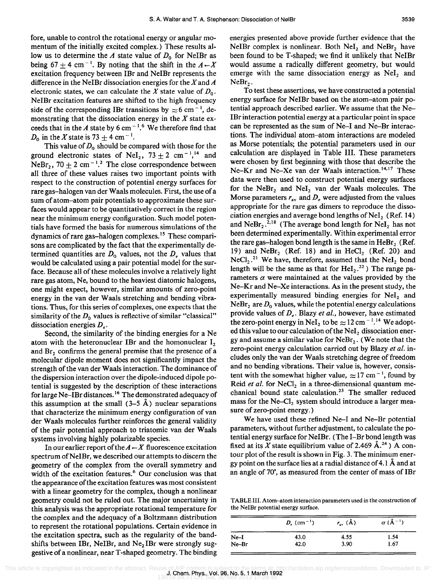fore, unable to control the rotational energy or angular momentum of the initially excited complex.) These results allow us to determine the *A* state value of  $D_0$  for NeIBr as being 67 + 4 cm<sup>-1</sup>. By noting that the shift in the  $A \leftarrow X$ excitation frequency between IBr and NeIBr represents the difference in the NeIBr dissociation energies for the  $X$  and  $A$ electronic states, we can calculate the X state value of  $D_0$ . NelBr excitation features are shifted to the high frequency side of the corresponding IBr transitions by  $\approx 6$  cm<sup>-1</sup>, demonstrating that the dissociation energy in the  $X$  state exceeds that in the *A* state by 6 cm<sup> $-1.6$ </sup> We therefore find that  $D_0$  in the X state is 73 + 4 cm<sup>-1</sup>.

This value of  $D_0$  should be compared with those for the ground electronic states of NeI<sub>2</sub>,  $73 \pm 2$  cm<sup>-1</sup>,<sup>14</sup> and NeBr<sub>2</sub>, 70  $\pm$  2 cm<sup>-1</sup>.<sup>2</sup> The close correspondence between all three of these values raises two important points with respect to the construction of potential energy surfaces for rare gas-halogen van der Waals molecules. First, the use of a sum of atom-atom pair potentials to approximate these surfaces would appear to be quantitatively correct in the region near the minimum energy configuration. Such model potentials have formed the basis for numerous simulations of the dynamics of rare gas-halogen complexes. 15 These comparisons are complicated by the fact that the experimentally determined quantities are  $D_0$  values, not the  $D_n$  values that would be calculated using a pair potential model for the surface. Because all of these molecules involve a relatively light rare gas atom, Ne, bound to the heaviest diatomic halogens, one might expect, however, similar amounts of zero-point energy in the van der Waals stretching and bending vibrations. Thus, for this series of complexes, one expects that the similarity of the  $D_0$  values is reflective of similar "classical" dissociation energies  $D_{\cdot}$ .

Second, the similarity of the binding energies for a Ne atom with the heteronuclear IBr and the homonuclear  $I_2$ and Br, confirms the general premise that the presence of a molecular dipole moment does not significantly impact the strength of the van der Waals interaction. The dominance of the dispersion interaction over the dipole-induced dipole potential is suggested by the description of these interactions for large Ne-IBr distances. 16 The demonstrated adequacy of this assumption at the small  $(3-5 \text{ Å})$  nuclear separations that characterize the minimum energy configuration of van der Waals molecules further reinforces the general validity of the pair potential approach to triatomic van der Waals systems involving highly polarizable species.

In our earlier report of the  $A \leftarrow X$  fluorescence excitation spectrum of NeIBr, we described our attempts to discern the geometry of the complex from the overall symmetry and width of the excitation features.<sup>6</sup> Our conclusion was that the appearance of the excitation features was most consistent with a linear geometry for the complex, though a nonlinear geometry could not be ruled out. The major uncertainty in this analysis was the appropriate rotational temperature for the complex and the adequacy of a Boltzmann distribution to represent the rotational populations. Certain evidence in the excitation spectra, such as the regularity of the bandshifts between IBr, NeIBr, and Ne<sub>2</sub> IBr were strongly suggestive of a nonlinear, near T -shaped geometry. The binding energies presented above provide further evidence that the NeIBr complex is nonlinear. Both NeI<sub>2</sub> and NeBr<sub>2</sub> have been found to be T-shaped; we find it unlikely that NeIBr would assume a radically different geometry, but would emerge with the same dissociation energy as  $NeI<sub>2</sub>$  and *NeBrz·* 

To test these assertions, we have constructed a potential energy surface for NeIBr based on the atom-atom pair potential approach described earlier. We assume that the Ne-IBr interaction potential energy at a particular point in space can be represented as the sum of Ne-I and Ne-Br interactions. The individual atom-atom interactions are modeled as Morse potentials; the potential parameters used in our calculation are displayed in Table III. These parameters were chosen by first beginning with those that describe the Ne-Kr and Ne-Xe van der Waals interaction.<sup>14,17</sup> These data were then used to construct potential energy surfaces for the NeBr<sub>2</sub> and NeI<sub>2</sub> van der Waals molecules. The Morse parameters  $r_{av}$  and  $D_e$  were adjusted from the values appropriate for the rare gas dimers to reproduce the dissociation energies and average bond lengths of NeI<sub>2</sub> (Ref. 14) and NeBr<sub>2</sub>.<sup>2,18</sup> (The average bond length for NeI<sub>2</sub> has not been determined experimentally. Within experimental error the rare gas-halogen bond length is the same in  $HeBr<sub>2</sub>$  (Ref. 19) and  $N eBr<sub>2</sub>$  (Ref. 18) and in HeCl<sub>2</sub> (Ref. 20) and  $NeCl<sub>2</sub>$ .<sup>21</sup> We have, therefore, assumed that the NeI<sub>2</sub> bond length will be the same as that for  $HeI_2$ <sup>22</sup>) The range parameters  $\alpha$  were maintained at the values provided by the Ne-Kr and Ne-Xe interactions. As in the present study, the experimentally measured binding energies for NeI<sub>2</sub> and  $NeBr<sub>2</sub>$  are  $D<sub>0</sub>$  values, while the potential energy calculations provide values of *De.* Blazy *et al.,* however, have estimated the zero-point energy in NeI<sub>2</sub> to be  $\approx 12 \text{ cm}^{-1}$ .<sup>14</sup> We adopted this value to our calculation of the NeI<sub>2</sub> dissociation energy and assume a similar value for  $N eBr<sub>2</sub>$ . (We note that the zero-point energy calculation carried out by Blazy *et al.* includes only the van der Waals stretching degree of freedom and no bending vibrations. Their value is, however, consistent with the somewhat higher value,  $\approx 17$  cm<sup>-1</sup>, found by Reid *et al.* for NeCl<sub>2</sub> in a three-dimensional quantum mechanical bound state calculation.<sup>23</sup> The smaller reduced mass for the Ne- $Cl_2$  system should introduce a larger measure of zero-point energy.)

We have used these refined Ne-I and Ne-Br potential parameters, without further adjustment, to calculate the potential energy surface for NeIBr. (The I-Br bond length was fixed at its X state equilibrium value of 2.469  $\AA$ .<sup>24</sup>) A contour plot of the result is shown in Fig. 3. The minimum energy point on the surface lies at a radial distance of 4.1  $\AA$  and at an angle of 70°, as measured from the center of mass of IBr

TABLE III. Atom-atom interaction parameters used in the construction of the NeIBr potential energy surface.

|         | $D_e$ (cm <sup>-1</sup> ) | $r_{\rm av}$ (Å) | $\alpha$ (Å <sup>-1</sup> ) |
|---------|---------------------------|------------------|-----------------------------|
| $Ne-I$  | 43.0                      | 4.55             | 1.54                        |
| $Ne-Br$ | 42.0                      | 3.90             | 1.67                        |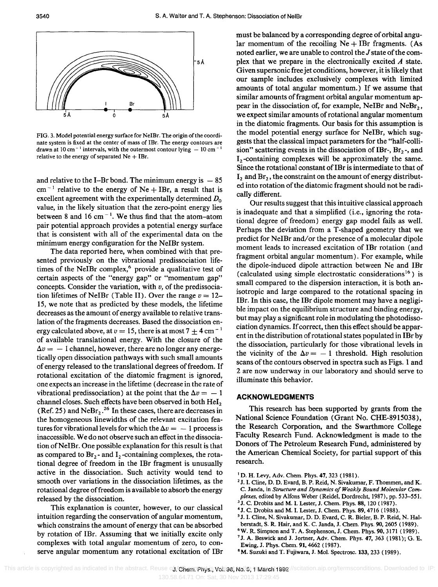

FIG. 3. Model potential energy surface for NeIBr. The origin of the coordinate system is fixed at the center of mass of IBr. The energy contours are drawn at 10 cm<sup>-1</sup> intervals, with the outermost contour lying  $-10$  cm<sup>-</sup> relative to the energy of separated  $Ne + IBr$ .

and relative to the I-Br bond. The minimum energy is  $-85$  $cm^{-1}$  relative to the energy of Ne + IBr, a result that is excellent agreement with the experimentally determined *Do*  value, in the likely situation that the zero-point energy lies between 8 and 16 cm<sup> $-1$ </sup>. We thus find that the atom-atom pair potential approach provides a potential energy surface that is consistent with all of the experimental data on the minimum energy configuration for the NeIBr system.

The data reported here, when combined with that presented previously on the vibrational predissociation lifetimes of the NeIBr complex,<sup>6</sup> provide a qualitative test of certain aspects of the "energy gap" or "momentum gap" concepts. Consider the variation, with *u,* of the predissociation lifetimes of NeIBr (Table II). Over the range  $v = 12$ -15, we note that as predicted by these models, the lifetime decreases as the amount of energy available to relative translation of the fragments decreases. Based the dissociation energy calculated above, at  $v = 15$ , there is at most  $7 + 4$  cm<sup>-1</sup> of available translational energy. With the closure of the  $\Delta v = -1$  channel, however, there are no longer any energetically open dissociation pathways with such small amounts of energy released to the translational degrees of freedom. If rotational excitation of the diatomic fragment is ignored, one expects an increase in the lifetime (decrease in the rate of vibrational predissociation) at the point that the  $\Delta v = -1$ channel closes. Such effects have been observed in both  $\text{HeI}_2$  (Ref. 25) and NeBr<sub>2</sub>.<sup>26</sup> In these cases, there are decreases in the homogeneous linewidths of the relevant excitation features for vibrational levels for which the  $\Delta v = -1$  process is inaccessible. We do not observe such an effect in the dissociation of NeIBr. One possible explanation for this result is that as compared to  $Br_2$ - and  $I_2$ -containing complexes, the rotational degree of freedom in the IBr fragment is unusually active in the dissociation. Such activity would tend to smooth over variations in the dissociation lifetimes, as the rotational degree offreedom is available to absorb the energy released by the dissociation.

This explanation is counter, however, to our classical intuition regarding the conservation of angular momentum, which constrains the amount of energy that can be absorbed by rotation of IBr. Assuming that we initially excite only complexes with total angular momentum of zero, to conserve angular momentum any rotational excitation of IBr must be balanced by a corresponding degree of orbital angular momentum of the recoiling  $Ne + IBr$  fragments. (As noted earlier, we are unable to control the J state of the complex that we prepare in the electronically excited *A* state. Given supersonic free jet conditions, however, it is likely that our sample includes exclusively complexes with limited amounts of total angular momentum.) If we assume that similar amounts of fragment orbital angular momentum appear in the dissociation of, for example, NeIBr and NeBr<sub>2</sub>, we expect similar amounts of rotational angular momentum in the diatomic fragments. Our basis for this assumption is the model potential energy surface for NeIBr, which suggests that the classical impact parameters for the "half-collision" scattering events in the dissociation of IBr-,  $Br_2$ -, and  $I_2$ -containing complexes will be approximately the same. Since the rotational constant of IBr is intermediate to that of  $I_2$  and  $Br_2$ , the constraint on the amount of energy distributed into rotation of the diatomic fragment should not be radically different.

Our results suggest that this intuitive classical approach is inadequate and that a simplified (i.e., ignoring the rotational degree of freedom) energy gap model fails as well. Perhaps the deviation from a T-shaped geometry that we predict for NeIBr and/or the presence of a molecular dipole moment leads to increased excitation of IBr rotation (and fragment orbital angular momentum). For example, while the dipole-induced dipole attraction between Ne and IBr (calculated using simple electrostatic considerations<sup>16</sup>) is small compared to the dispersion interaction, it is both anisotropic and large compared to the rotational spacing in IBr. In this case, the IBr dipole moment may have a negligible impact on the equilibrium structure and binding energy, but may playa significant role in modulating the photodissociation dynamics. If correct, then this effect should be apparent in the distribution of rotational states populated in IBr by the dissociation, particularly for those vibrational levels in the vicinity of the  $\Delta v = -1$  threshold. High resolution scans of the contours observed in spectra such as Figs. 1 and 2 are now underway in our laboratory and should serve to illuminate this behavior.

### **ACKNOWLEDGMENTS**

This research has been supported by grants from the National Science Foundation (Grant No. CHE-8915038), the Research Corporation, and the Swarthmore College Faculty Research Fund. Acknowledgment is made to the Donors of The Petroleum Research Fund, administered by the American Chemical Society, for partial support of this research.

<sup>6</sup> W. R. Simpson and T. A. Stephenson, J. Chem. Phys. 90, 3171 (1989).

<sup>8</sup>M. Suzuki and T. Fujiwara, J. Mol. Spectrosc. 133, 233 (1989).

<sup>&</sup>lt;sup>1</sup> D. H. Levy, Adv. Chem. Phys. 47, 323 (1981).

<sup>&</sup>lt;sup>2</sup> J. I. Cline, D. D. Evard, B. P. Reid, N. Sivakumar, F. Thommen, and K. C. Janda, in *Structure and Dynamics of Weakly Bound Molecular Complexes,* edited by Alfons Weber (Reidel, Dordrecht, 1987), pp. 533-551.

<sup>3</sup> J. C. Drobits and M. 1. Lester, J. Chern. Phys. 88, 120 (1987).

<sup>4</sup> J. C. Drobits and M. I. Lester, J. Chern. Phys. 89, 4716 (1988). 5 J. 1. Cline, N. Sivakurnar, D. D. Evard, C. R. Bieler, B. P. Reid, N. Hal-

berstadt, S. R. Hair, and K. C. Janda, J. Chern. Phys. 90, 2605 (1989).

<sup>&</sup>lt;sup>7</sup> J. A. Beswick and J. Jortner, Adv. Chem. Phys. 47, 363 (1981); G. E. Ewing, J. Phys. Chern. 91, 4662 (1987).